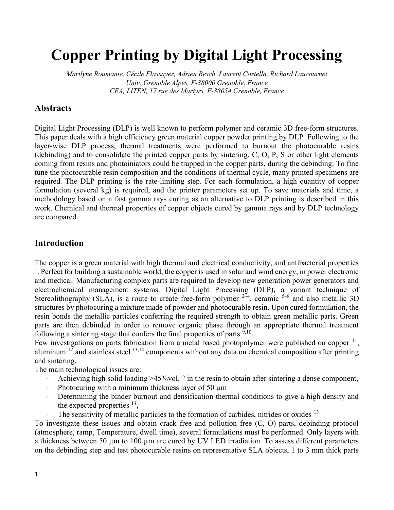# Copper Printing by Digital Light Processing

Marilyne Roumanie, Cécile Flassayer, Adrien Resch, Laurent Cortella, Richard Laucournet Univ, Grenoble Alpes, F-38000 Grenoble, France CEA, LITEN, 17 rue des Martyrs, F-38054 Grenoble, France

# Abstracts

Digital Light Processing (DLP) is well known to perform polymer and ceramic 3D free-form structures. This paper deals with a high efficiency green material copper powder printing by DLP. Following to the layer-wise DLP process, thermal treatments were performed to burnout the photocurable resins (debinding) and to consolidate the printed copper parts by sintering. C, O, P, S or other light elements coming from resins and photoiniators could be trapped in the copper parts, during the debinding. To fine tune the photocurable resin composition and the conditions of thermal cycle, many printed specimens are required. The DLP printing is the rate-limiting step. For each formulation, a high quantity of copper formulation (several kg) is required, and the printer parameters set up. To save materials and time, a methodology based on a fast gamma rays curing as an alternative to DLP printing is described in this work. Chemical and thermal properties of copper objects cured by gamma rays and by DLP technology are compared.

# Introduction

The copper is a green material with high thermal and electrical conductivity, and antibacterial properties <sup>1</sup>. Perfect for building a sustainable world, the copper is used in solar and wind energy, in power electronic and medical. Manufacturing complex parts are required to develop new generation power generators and electrochemical management systems. Digital Light Processing (DLP), a variant technique of Stereolithography (SLA), is a route to create free-form polymer  $2-4$ , ceramic  $5-8$  and also metallic 3D structures by photocuring a mixture made of powder and photocurable resin. Upon cured formulation, the resin bonds the metallic particles conferring the required strength to obtain green metallic parts. Green parts are then debinded in order to remove organic phase through an appropriate thermal treatment following a sintering stage that confers the final properties of parts  $9,10$ .

Few investigations on parts fabrication from a metal based photopolymer were published on copper  $^{11}$ , aluminum  $12$  and stainless steel  $13,14$  components without any data on chemical composition after printing and sintering.

The main technological issues are:

- Achieving high solid loading  $>45\%$ vol.<sup>15</sup> in the resin to obtain after sintering a dense component,
- Photocuring with a minimum thickness layer of 50  $\mu$ m
- Determining the binder burnout and densification thermal conditions to give a high density and the expected properties  $^{13}$ ,
- The sensitivity of metallic particles to the formation of carbides, nitrides or oxides <sup>13</sup>

To investigate these issues and obtain crack free and pollution free (C, O) parts, debinding protocol (atmosphere, ramp, Temperature, dwell time), several formulations must be performed. Only layers with a thickness between 50 µm to 100 µm are cured by UV LED irradiation. To assess different parameters on the debinding step and test photocurable resins on representative SLA objects, 1 to 3 mm thick parts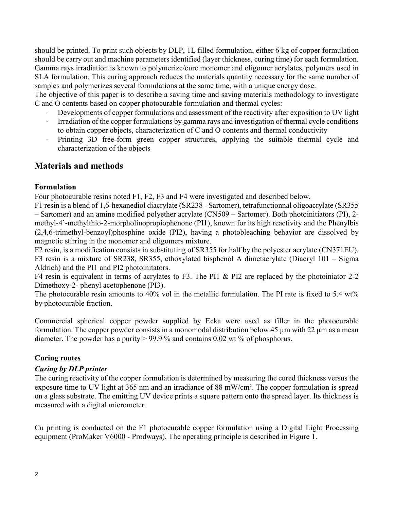should be printed. To print such objects by DLP, 1L filled formulation, either 6 kg of copper formulation should be carry out and machine parameters identified (layer thickness, curing time) for each formulation. Gamma rays irradiation is known to polymerize/cure monomer and oligomer acrylates, polymers used in SLA formulation. This curing approach reduces the materials quantity necessary for the same number of samples and polymerizes several formulations at the same time, with a unique energy dose.

The objective of this paper is to describe a saving time and saving materials methodology to investigate C and O contents based on copper photocurable formulation and thermal cycles:

- Developments of copper formulations and assessment of the reactivity after exposition to UV light
- Irradiation of the copper formulations by gamma rays and investigation of thermal cycle conditions to obtain copper objects, characterization of C and O contents and thermal conductivity
- Printing 3D free-form green copper structures, applying the suitable thermal cycle and characterization of the objects

# Materials and methods

#### Formulation

Four photocurable resins noted F1, F2, F3 and F4 were investigated and described below.

F1 resin is a blend of 1,6-hexanediol diacrylate (SR238 - Sartomer), tetrafunctionnal oligoacrylate (SR355 – Sartomer) and an amine modified polyether acrylate (CN509 – Sartomer). Both photoinitiators (PI), 2 methyl-4'-methylthio-2-morpholinopropiophenone (PI1), known for its high reactivity and the Phenylbis (2,4,6-trimethyl-benzoyl)phosphine oxide (PI2), having a photobleaching behavior are dissolved by magnetic stirring in the monomer and oligomers mixture.

F2 resin, is a modification consists in substituting of SR355 for half by the polyester acrylate (CN371EU). F3 resin is a mixture of SR238, SR355, ethoxylated bisphenol A dimetacrylate (Diacryl 101 – Sigma Aldrich) and the PI1 and PI2 photoinitators.

F4 resin is equivalent in terms of acrylates to F3. The PI1 & PI2 are replaced by the photoiniator 2-2 Dimethoxy-2- phenyl acetophenone (PI3).

The photocurable resin amounts to 40% vol in the metallic formulation. The PI rate is fixed to 5.4 wt% by photocurable fraction.

Commercial spherical copper powder supplied by Ecka were used as filler in the photocurable formulation. The copper powder consists in a monomodal distribution below 45  $\mu$ m with 22  $\mu$ m as a mean diameter. The powder has a purity > 99.9 % and contains 0.02 wt % of phosphorus.

# Curing routes

# Curing by DLP printer

The curing reactivity of the copper formulation is determined by measuring the cured thickness versus the exposure time to UV light at 365 nm and an irradiance of 88 mW/cm². The copper formulation is spread on a glass substrate. The emitting UV device prints a square pattern onto the spread layer. Its thickness is measured with a digital micrometer.

Cu printing is conducted on the F1 photocurable copper formulation using a Digital Light Processing equipment (ProMaker V6000 - Prodways). The operating principle is described in Figure 1.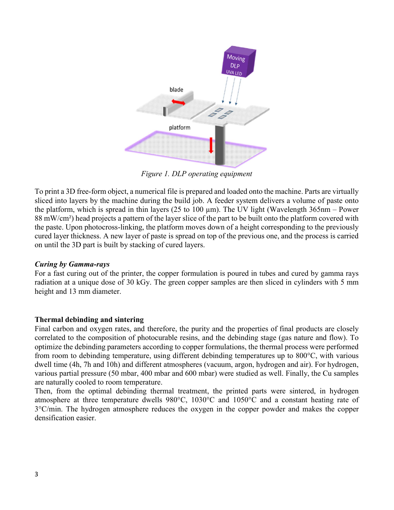

Figure 1. DLP operating equipment

To print a 3D free-form object, a numerical file is prepared and loaded onto the machine. Parts are virtually sliced into layers by the machine during the build job. A feeder system delivers a volume of paste onto the platform, which is spread in thin layers (25 to 100  $\mu$ m). The UV light (Wavelength 365nm – Power 88 mW/cm²) head projects a pattern of the layer slice of the part to be built onto the platform covered with the paste. Upon photocross-linking, the platform moves down of a height corresponding to the previously cured layer thickness. A new layer of paste is spread on top of the previous one, and the process is carried on until the 3D part is built by stacking of cured layers.

#### Curing by Gamma-rays

For a fast curing out of the printer, the copper formulation is poured in tubes and cured by gamma rays radiation at a unique dose of 30 kGy. The green copper samples are then sliced in cylinders with 5 mm height and 13 mm diameter.

#### Thermal debinding and sintering

Final carbon and oxygen rates, and therefore, the purity and the properties of final products are closely correlated to the composition of photocurable resins, and the debinding stage (gas nature and flow). To optimize the debinding parameters according to copper formulations, the thermal process were performed from room to debinding temperature, using different debinding temperatures up to 800°C, with various dwell time (4h, 7h and 10h) and different atmospheres (vacuum, argon, hydrogen and air). For hydrogen, various partial pressure (50 mbar, 400 mbar and 600 mbar) were studied as well. Finally, the Cu samples are naturally cooled to room temperature.

Then, from the optimal debinding thermal treatment, the printed parts were sintered, in hydrogen atmosphere at three temperature dwells 980°C, 1030°C and 1050°C and a constant heating rate of 3°C/min. The hydrogen atmosphere reduces the oxygen in the copper powder and makes the copper densification easier.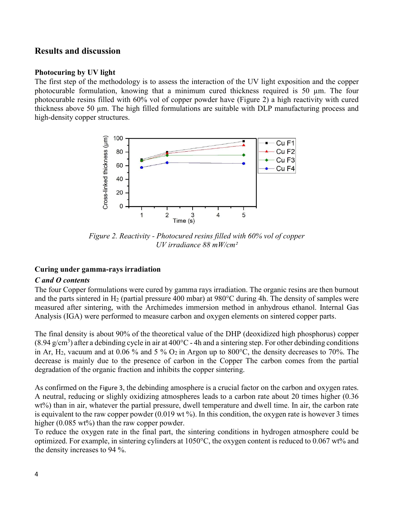# Results and discussion

#### Photocuring by UV light

The first step of the methodology is to assess the interaction of the UV light exposition and the copper photocurable formulation, knowing that a minimum cured thickness required is 50  $\mu$ m. The four photocurable resins filled with 60% vol of copper powder have (Figure 2) a high reactivity with cured thickness above 50 µm. The high filled formulations are suitable with DLP manufacturing process and high-density copper structures.



Figure 2. Reactivity - Photocured resins filled with 60% vol of copper UV irradiance 88 mW/cm²

# Curing under gamma-rays irradiation

# C and O contents

The four Copper formulations were cured by gamma rays irradiation. The organic resins are then burnout and the parts sintered in H<sub>2</sub> (partial pressure 400 mbar) at  $980^{\circ}$ C during 4h. The density of samples were measured after sintering, with the Archimedes immersion method in anhydrous ethanol. Internal Gas Analysis (IGA) were performed to measure carbon and oxygen elements on sintered copper parts.

The final density is about 90% of the theoretical value of the DHP (deoxidized high phosphorus) copper  $(8.94 \text{ g/cm}^3)$  after a debinding cycle in air at 400°C - 4h and a sintering step. For other debinding conditions in Ar, H<sub>2</sub>, vacuum and at 0.06 % and 5 %  $O_2$  in Argon up to 800°C, the density decreases to 70%. The decrease is mainly due to the presence of carbon in the Copper The carbon comes from the partial degradation of the organic fraction and inhibits the copper sintering.

As confirmed on the Figure 3, the debinding amosphere is a crucial factor on the carbon and oxygen rates. A neutral, reducing or slighly oxidizing atmospheres leads to a carbon rate about 20 times higher (0.36 wt%) than in air, whatever the partial pressure, dwell temperature and dwell time. In air, the carbon rate is equivalent to the raw copper powder (0.019 wt %). In this condition, the oxygen rate is however 3 times higher (0.085 wt%) than the raw copper powder.

To reduce the oxygen rate in the final part, the sintering conditions in hydrogen atmosphere could be optimized. For example, in sintering cylinders at 1050°C, the oxygen content is reduced to 0.067 wt% and the density increases to 94 %.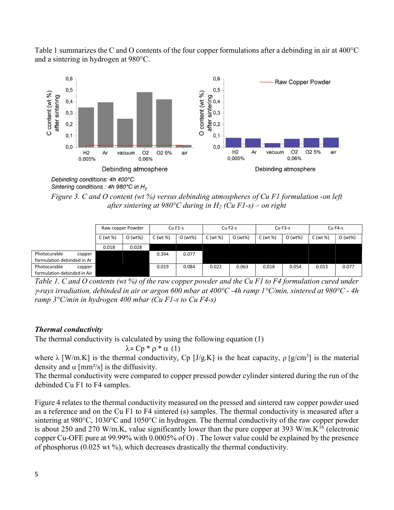Table 1 summarizes the C and O contents of the four copper formulations after a debinding in air at 400°C and a sintering in hydrogen at 980°C.



Debinding conditions: 4h 400°C Sintering conditions : 4h 980°C in  $H_2$ 

Figure 3. C and O content (wt  $\%$ ) versus debinding atmospheres of Cu F1 formulation -on left after sintering at 980°C during in H<sub>2</sub> (Cu F1-s) – on right

|                             | Raw copper Powder |        | $CuF1-s$ |         | Cu F <sub>2</sub> -s |        | Cu F3-s  |        | Cu F4-s |         |
|-----------------------------|-------------------|--------|----------|---------|----------------------|--------|----------|--------|---------|---------|
|                             | C (wt %)          | O(wt%) | C(wt %)  | O (wt%) | C(wt %)              | O(wt%) | C (wt %) | O(wt%) | C(wt %) | O (wt%) |
|                             | 0.018             | 0.028  |          |         |                      |        |          |        |         |         |
| Photocurable<br>copper      |                   |        | 0.394    | 0.077   |                      |        |          |        |         |         |
| formulation debinded in Ar  |                   |        |          |         |                      |        |          |        |         |         |
| Photocurable<br>copper      |                   |        | 0.019    | 0.084   | 0.022                | 0.063  | 0.018    | 0.054  | 0.013   | 0.077   |
| formulation debinded in Air |                   |        |          |         |                      |        |          |        |         |         |

Table 1. C and O contents (wt %) of the raw copper powder and the Cu F1 to F4 formulation cured under  $\gamma$ -rays irradiation, debinded in air or argon 600 mbar at 400°C -4h ramp 1°C/min, sintered at 980°C - 4h ramp  $3^{\circ}$ C/min in hydrogen 400 mbar (Cu F1-s to Cu F4-s)

# Thermal conductivity

The thermal conductivity is calculated by using the following equation (1)

$$
\lambda = \mathbf{Cp} * \rho * \alpha (1)
$$

where  $\lambda$  [W/m.K] is the thermal conductivity, Cp [J/g.K] is the heat capacity,  $\rho$  [g/cm<sup>3</sup>] is the material density and  $\alpha$  [mm<sup>2</sup>/s] is the diffusivity.

The thermal conductivity were compared to copper pressed powder cylinder sintered during the run of the debinded Cu F1 to F4 samples.

Figure 4 relates to the thermal conductivity measured on the pressed and sintered raw copper powder used as a reference and on the Cu F1 to F4 sintered (s) samples. The thermal conductivity is measured after a sintering at 980°C, 1030°C and 1050°C in hydrogen. The thermal conductivity of the raw copper powder is about 250 and 270 W/m.K, value significantly lower than the pure copper at 393 W/m.K<sup>16</sup> (electronic copper Cu-OFE pure at 99.99% with 0.0005% of O) . The lower value could be explained by the presence of phosphorus (0.025 wt %), which decreases drastically the thermal conductivity.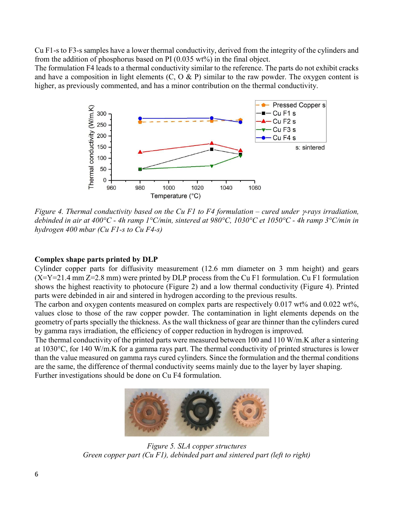Cu F1-s to F3-s samples have a lower thermal conductivity, derived from the integrity of the cylinders and from the addition of phosphorus based on PI  $(0.035 \text{ wt})$  in the final object.

The formulation F4 leads to a thermal conductivity similar to the reference. The parts do not exhibit cracks and have a composition in light elements  $(C, O \& P)$  similar to the raw powder. The oxygen content is higher, as previously commented, and has a minor contribution on the thermal conductivity.



Figure 4. Thermal conductivity based on the Cu F1 to F4 formulation – cured under  $\gamma$ -rays irradiation, debinded in air at 400°C - 4h ramp 1°C/min, sintered at 980°C, 1030°C et 1050°C - 4h ramp 3°C/min in hydrogen 400 mbar (Cu F1-s to Cu F4-s)

#### Complex shape parts printed by DLP

Cylinder copper parts for diffusivity measurement (12.6 mm diameter on 3 mm height) and gears  $(X=Y=21.4 \text{ mm } Z=2.8 \text{ mm})$  were printed by DLP process from the Cu F1 formulation. Cu F1 formulation shows the highest reactivity to photocure (Figure 2) and a low thermal conductivity (Figure 4). Printed parts were debinded in air and sintered in hydrogen according to the previous results.

The carbon and oxygen contents measured on complex parts are respectively 0.017 wt% and 0.022 wt%, values close to those of the raw copper powder. The contamination in light elements depends on the geometry of parts specially the thickness. As the wall thickness of gear are thinner than the cylinders cured by gamma rays irradiation, the efficiency of copper reduction in hydrogen is improved.

The thermal conductivity of the printed parts were measured between 100 and 110 W/m.K after a sintering at 1030°C, for 140 W/m.K for a gamma rays part. The thermal conductivity of printed structures is lower than the value measured on gamma rays cured cylinders. Since the formulation and the thermal conditions are the same, the difference of thermal conductivity seems mainly due to the layer by layer shaping. Further investigations should be done on Cu F4 formulation.



Figure 5. SLA copper structures Green copper part (Cu F1), debinded part and sintered part (left to right)